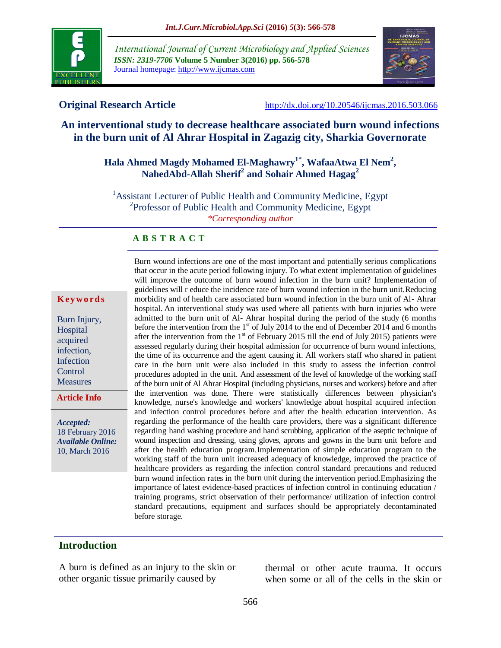

*International Journal of Current Microbiology and Applied Sciences ISSN: 2319-7706* **Volume 5 Number 3(2016) pp. 566-578** Journal homepage: http://www.ijcmas.com



**Original Research Article** <http://dx.doi.org/10.20546/ijcmas.2016.503.066>

# **An interventional study to decrease healthcare associated burn wound infections in the burn unit of Al Ahrar Hospital in Zagazig city, Sharkia Governorate**

# **Hala Ahmed Magdy Mohamed El-Maghawry1\* , WafaaAtwa El Nem<sup>2</sup> , NahedAbd-Allah Sherif<sup>2</sup> and Sohair Ahmed Hagag<sup>2</sup>**

<sup>1</sup> Assistant Lecturer of Public Health and Community Medicine, Egypt <sup>2</sup>Professor of Public Health and Community Medicine, Egypt *\*Corresponding author*

#### **A B S T R A C T**

#### **K ey w o rd s**

Burn Injury, **H**ospital acquired infection, Infection **Control** Measures

**Article Info**

*Accepted:*  18 February 2016 *Available Online:* 10, March 2016

Burn wound infections are one of the most important and potentially serious complications that occur in the acute period following injury. To what extent implementation of guidelines will improve the outcome of burn wound infection in the burn unit? Implementation of guidelines will r educe the incidence rate of burn wound infection in the burn unit.Reducing morbidity and of health care associated burn wound infection in the burn unit of Al- Ahrar hospital. An interventional study was used where all patients with burn injuries who were admitted to the burn unit of Al- Ahrar hospital during the period of the study (6 months before the intervention from the  $1<sup>st</sup>$  of July 2014 to the end of December 2014 and 6 months after the intervention from the  $1<sup>st</sup>$  of February 2015 till the end of July 2015) patients were assessed regularly during their hospital admission for occurrence of burn wound infections, the time of its occurrence and the agent causing it. All workers staff who shared in patient care in the burn unit were also included in this study to assess the infection control procedures adopted in the unit. And assessment of the level of knowledge of the working staff of the burn unit of Al Ahrar Hospital (including physicians, nurses and workers) before and after the intervention was done. There were statistically differences between physician's knowledge, nurse's knowledge and workers' knowledge about hospital acquired infection and infection control procedures before and after the health education intervention. As regarding the performance of the health care providers, there was a significant difference regarding hand washing procedure and hand scrubbing, application of the aseptic technique of wound inspection and dressing, using gloves, aprons and gowns in the burn unit before and after the health education program.Implementation of simple education program to the working staff of the burn unit increased adequacy of knowledge, improved the practice of healthcare providers as regarding the infection control standard precautions and reduced burn wound infection rates in the burn unit during the intervention period.Emphasizing the importance of latest evidence-based practices of infection control in continuing education / training programs, strict observation of their performance/ utilization of infection control standard precautions, equipment and surfaces should be appropriately decontaminated before storage.

# **Introduction**

A burn is defined as an injury to the skin or other organic tissue primarily caused by

thermal or other acute trauma. It occurs when some or all of the cells in the skin or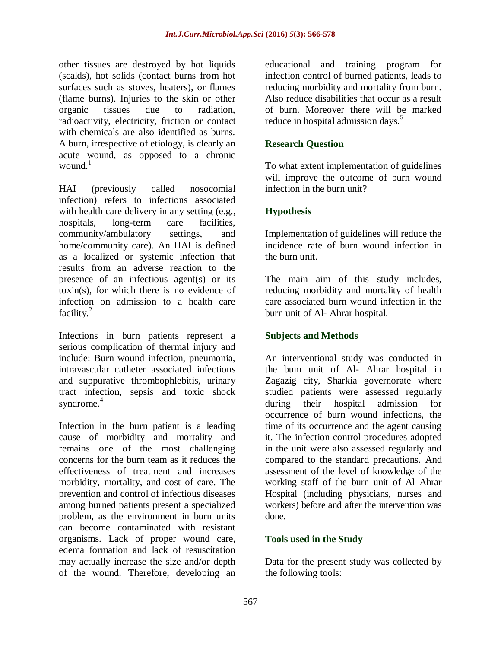other tissues are destroyed by hot liquids (scalds), hot solids (contact burns from hot surfaces such as stoves, heaters), or flames (flame burns). Injuries to the skin or other organic tissues due to radiation, radioactivity, electricity, friction or contact with chemicals are also identified as burns. A burn, irrespective of etiology, is clearly an acute wound, as opposed to a chronic wound. $<sup>1</sup>$ </sup>

HAI (previously called nosocomial infection) refers to infections associated with health care delivery in any setting (e.g., hospitals, long-term care facilities, community/ambulatory settings, and home/community care). An HAI is defined as a localized or systemic infection that results from an adverse reaction to the presence of an infectious agent(s) or its toxin(s), for which there is no evidence of infection on admission to a health care facility. $^{2}$ 

Infections in burn patients represent a serious complication of thermal injury and include: Burn wound infection, pneumonia, intravascular catheter associated infections and suppurative thrombophlebitis, urinary tract infection, sepsis and toxic shock syndrome.<sup>4</sup>

Infection in the burn patient is a leading cause of morbidity and mortality and remains one of the most challenging concerns for the burn team as it reduces the effectiveness of treatment and increases morbidity, mortality, and cost of care. The prevention and control of infectious diseases among burned patients present a specialized problem, as the environment in burn units can become contaminated with resistant organisms. Lack of proper wound care, edema formation and lack of resuscitation may actually increase the size and/or depth of the wound. Therefore, developing an

educational and training program for infection control of burned patients, leads to reducing morbidity and mortality from burn. Also reduce disabilities that occur as a result of burn. Moreover there will be marked reduce in hospital admission days.<sup>5</sup>

## **Research Question**

To what extent implementation of guidelines will improve the outcome of burn wound infection in the burn unit?

# **Hypothesis**

Implementation of guidelines will reduce the incidence rate of burn wound infection in the burn unit.

The main aim of this study includes, reducing morbidity and mortality of health care associated burn wound infection in the burn unit of Al- Ahrar hospital.

# **Subjects and Methods**

An interventional study was conducted in the bum unit of Al- Ahrar hospital in Zagazig city, Sharkia governorate where studied patients were assessed regularly during their hospital admission for occurrence of burn wound infections, the time of its occurrence and the agent causing it. The infection control procedures adopted in the unit were also assessed regularly and compared to the standard precautions. And assessment of the level of knowledge of the working staff of the burn unit of Al Ahrar Hospital (including physicians, nurses and workers) before and after the intervention was done.

### **Tools used in the Study**

Data for the present study was collected by the following tools: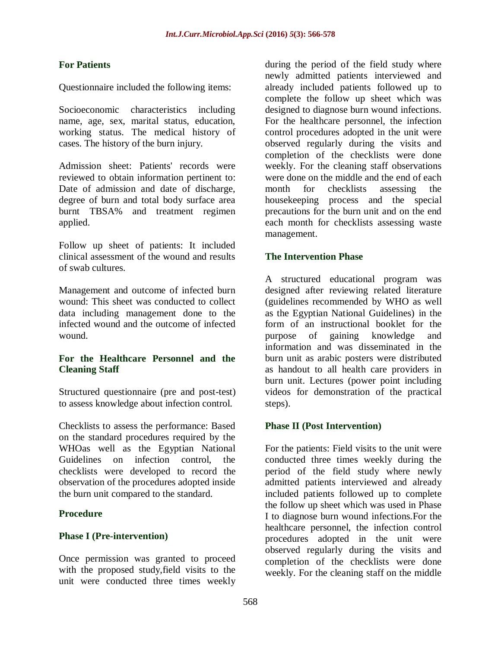## **For Patients**

Questionnaire included the following items:

Socioeconomic characteristics including name, age, sex, marital status, education, working status. The medical history of cases. The history of the burn injury.

Admission sheet: Patients' records were reviewed to obtain information pertinent to: Date of admission and date of discharge, degree of burn and total body surface area burnt TBSA% and treatment regimen applied.

Follow up sheet of patients: It included clinical assessment of the wound and results of swab cultures.

Management and outcome of infected burn wound: This sheet was conducted to collect data including management done to the infected wound and the outcome of infected wound.

# **For the Healthcare Personnel and the Cleaning Staff**

Structured questionnaire (pre and post-test) to assess knowledge about infection control.

Checklists to assess the performance: Based on the standard procedures required by the WHOas well as the Egyptian National Guidelines on infection control, the checklists were developed to record the observation of the procedures adopted inside the burn unit compared to the standard.

### **Procedure**

### **Phase I (Pre-intervention)**

Once permission was granted to proceed with the proposed study,field visits to the unit were conducted three times weekly

during the period of the field study where newly admitted patients interviewed and already included patients followed up to complete the follow up sheet which was designed to diagnose burn wound infections. For the healthcare personnel, the infection control procedures adopted in the unit were observed regularly during the visits and completion of the checklists were done weekly. For the cleaning staff observations were done on the middle and the end of each month for checklists assessing the housekeeping process and the special precautions for the burn unit and on the end each month for checklists assessing waste management.

### **The Intervention Phase**

A structured educational program was designed after reviewing related literature (guidelines recommended by WHO as well as the Egyptian National Guidelines) in the form of an instructional booklet for the purpose of gaining knowledge and information and was disseminated in the burn unit as arabic posters were distributed as handout to all health care providers in burn unit. Lectures (power point including videos for demonstration of the practical steps).

### **Phase II (Post Intervention)**

For the patients: Field visits to the unit were conducted three times weekly during the period of the field study where newly admitted patients interviewed and already included patients followed up to complete the follow up sheet which was used in Phase I to diagnose burn wound infections.For the healthcare personnel, the infection control procedures adopted in the unit were observed regularly during the visits and completion of the checklists were done weekly. For the cleaning staff on the middle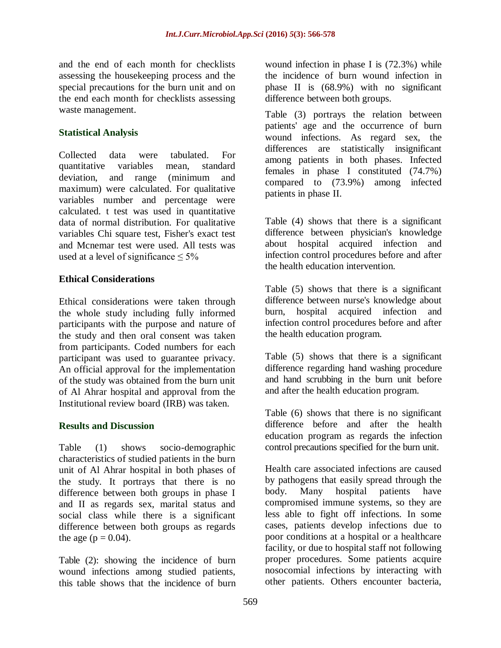and the end of each month for checklists assessing the housekeeping process and the special precautions for the burn unit and on the end each month for checklists assessing waste management.

# **Statistical Analysis**

Collected data were tabulated. For quantitative variables mean, standard deviation, and range (minimum and maximum) were calculated. For qualitative variables number and percentage were calculated. t test was used in quantitative data of normal distribution. For qualitative variables Chi square test, Fisher's exact test and [Mcnemar](https://www.google.com.eg/url?sa=t&rct=j&q=&esrc=s&source=web&cd=2&cad=rja&uact=8&ved=0CCMQFjABahUKEwjLidXwlPHGAhXIESwKHeEdAYo&url=https%3A%2F%2Fen.wikipedia.org%2Fwiki%2FMcNemar%27s_test&ei=2tGwVcu0AsijsAHhu4TQCA&usg=AFQjCNGrFECQDjCWB4tTlqZcfpVFslSR6A&sig2=0sGhphmgKfL246keyMB5mw&bvm=bv.98476267,d.bGg) test were used. All tests was used at a level of significance  $\leq 5\%$ 

### **Ethical Considerations**

Ethical considerations were taken through the whole study including fully informed participants with the purpose and nature of the study and then oral consent was taken from participants. Coded numbers for each participant was used to guarantee privacy. An official approval for the implementation of the study was obtained from the burn unit of Al Ahrar hospital and approval from the [Institutional review board](https://www.google.com.eg/url?sa=t&rct=j&q=&esrc=s&source=web&cd=5&cad=rja&uact=8&ved=0CDAQFjAEahUKEwi-sI6996DIAhXMNxQKHQSRD-8&url=https%3A%2F%2Fen.wikipedia.org%2Fwiki%2FInstitutional_review_board&usg=AFQjCNGexaa4Zeq2kWke6d6jGWawaAqndA&sig2=WaO7O_6_sfaPLig58i3-Kw&bvm=bv.104226188,d.d24) (IRB) was taken.

### **Results and Discussion**

Table (1) shows socio-demographic characteristics of studied patients in the burn unit of Al Ahrar hospital in both phases of the study. It portrays that there is no difference between both groups in phase I and II as regards sex, marital status and social class while there is a significant difference between both groups as regards the age ( $p = 0.04$ ).

Table (2): showing the incidence of burn wound infections among studied patients, this table shows that the incidence of burn

wound infection in phase I is (72.3%) while the incidence of burn wound infection in phase II is (68.9%) with no significant difference between both groups.

Table (3) portrays the relation between patients' age and the occurrence of burn wound infections. As regard sex, the differences are statistically insignificant among patients in both phases. Infected females in phase I constituted (74.7%) compared to (73.9%) among infected patients in phase II.

Table (4) shows that there is a significant difference between physician's knowledge about hospital acquired infection and infection control procedures before and after the health education intervention.

Table (5) shows that there is a significant difference between nurse's knowledge about burn, hospital acquired infection and infection control procedures before and after the health education program.

Table (5) shows that there is a significant difference regarding hand washing procedure and hand scrubbing in the burn unit before and after the health education program.

Table (6) shows that there is no significant difference before and after the health education program as regards the infection control precautions specified for the burn unit.

Health care associated infections are caused by pathogens that easily spread through the body. Many hospital patients have compromised immune systems, so they are less able to fight off infections. In some cases, patients develop infections due to poor conditions at a hospital or a healthcare facility, or due to hospital staff not following proper procedures. Some patients acquire nosocomial infections by interacting with other patients. Others encounter bacteria,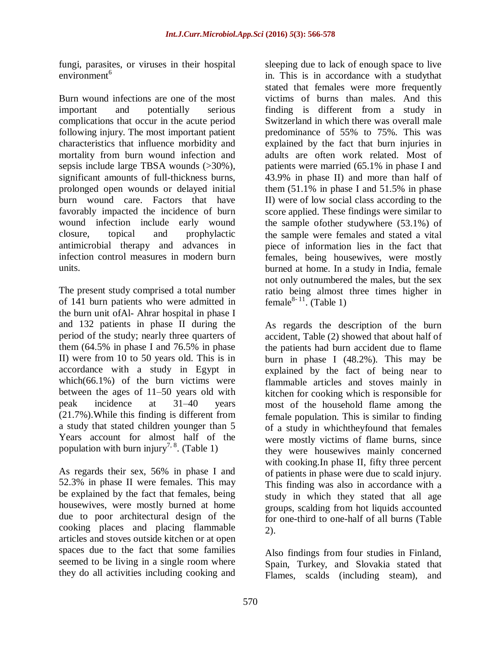fungi, parasites, or viruses in their hospital environment<sup>6</sup>

Burn wound infections are one of the most important and potentially serious complications that occur in the acute period following injury. The most important patient characteristics that influence morbidity and mortality from burn wound infection and sepsis include large TBSA wounds (>30%), significant amounts of full-thickness burns, prolonged open wounds or delayed initial burn wound care. Factors that have favorably impacted the incidence of burn wound infection include early wound closure, topical and prophylactic antimicrobial therapy and advances in infection control measures in modern burn units.

The present study comprised a total number of 141 burn patients who were admitted in the burn unit ofAl- Ahrar hospital in phase I and 132 patients in phase II during the period of the study; nearly three quarters of them (64.5% in phase I and 76.5% in phase II) were from 10 to 50 years old. This is in accordance with a study in Egypt in which(66.1%) of the burn victims were between the ages of 11–50 years old with peak incidence at 31–40 years (21.7%).While this finding is different from a study that stated children younger than 5 Years account for almost half of the population with burn injury<sup>7, 8</sup>. (Table 1)

As regards their sex, 56% in phase I and 52.3% in phase II were females. This may be explained by the fact that females, being housewives, were mostly burned at home due to poor architectural design of the cooking places and placing flammable articles and stoves outside kitchen or at open spaces due to the fact that some families seemed to be living in a single room where they do all activities including cooking and

sleeping due to lack of enough space to live in. This is in accordance with a studythat stated that females were more frequently victims of burns than males. And this finding is different from a study in Switzerland in which there was overall male predominance of 55% to 75%. This was explained by the fact that burn injuries in adults are often work related. Most of patients were married (65.1% in phase I and 43.9% in phase II) and more than half of them (51.1% in phase I and 51.5% in phase II) were of low social class according to the score applied. These findings were similar to the sample ofother studywhere (53.1%) of the sample were females and stated a vital piece of information lies in the fact that females, being housewives, were mostly burned at home. In a study in India, female not only outnumbered the males, but the sex ratio being almost three times higher in female $^{8-11}$ . (Table 1)

As regards the description of the burn accident, Table (2) showed that about half of the patients had burn accident due to flame burn in phase I (48.2%). This may be explained by the fact of being near to flammable articles and stoves mainly in kitchen for cooking which is responsible for most of the household flame among the female population. This is similar to finding of a study in whichtheyfound that females were mostly victims of flame burns, since they were housewives mainly concerned with cooking.In phase II, fifty three percent of patients in phase were due to scald injury. This finding was also in accordance with a study in which they stated that all age groups, scalding from hot liquids accounted for one-third to one-half of all burns (Table 2).

Also findings from four studies in Finland, Spain, Turkey, and Slovakia stated that Flames, scalds (including steam), and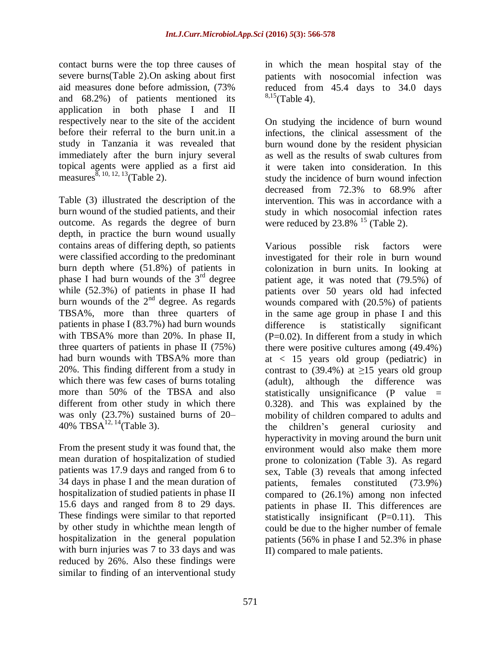contact burns were the top three causes of severe burns(Table 2).On asking about first aid measures done before admission, (73% and 68.2%) of patients mentioned its application in both phase I and II respectively near to the site of the accident before their referral to the burn unit.in a study in Tanzania it was revealed that immediately after the burn injury several topical agents were applied as a first aid measures  $^{\bar{8}, 10, 12, 13}$  (Table 2).

Table (3) illustrated the description of the burn wound of the studied patients, and their outcome. As regards the degree of burn depth, in practice the burn wound usually contains areas of differing depth, so patients were classified according to the predominant burn depth where (51.8%) of patients in phase I had burn wounds of the  $3<sup>rd</sup>$  degree while (52.3%) of patients in phase II had burn wounds of the  $2<sup>nd</sup>$  degree. As regards TBSA%, more than three quarters of patients in phase I (83.7%) had burn wounds with TBSA% more than 20%. In phase II, three quarters of patients in phase II (75%) had burn wounds with TBSA% more than 20%. This finding different from a study in which there was few cases of burns totaling more than 50% of the TBSA and also different from other study in which there was only (23.7%) sustained burns of 20– 40% TBSA<sup>12, 14</sup>(Table 3).

From the present study it was found that, the mean duration of hospitalization of studied patients was 17.9 days and ranged from 6 to 34 days in phase I and the mean duration of hospitalization of studied patients in phase II 15.6 days and ranged from 8 to 29 days. These findings were similar to that reported by other study in whichthe mean length of hospitalization in the general population with burn injuries was 7 to 33 days and was reduced by 26%. Also these findings were similar to finding of an interventional study

in which the mean hospital stay of the patients with nosocomial infection was reduced from 45.4 days to 34.0 days  $8,15$ (Table 4).

On studying the incidence of burn wound infections, the clinical assessment of the burn wound done by the resident physician as well as the results of swab cultures from it were taken into consideration. In this study the incidence of burn wound infection decreased from 72.3% to 68.9% after intervention. This was in accordance with a study in which nosocomial infection rates were reduced by  $23.8\%$  <sup>15</sup> (Table 2).

Various possible risk factors were investigated for their role in burn wound colonization in burn units. In looking at patient age, it was noted that (79.5%) of patients over 50 years old had infected wounds compared with (20.5%) of patients in the same age group in phase I and this difference is statistically significant  $(P=0.02)$ . In different from a study in which there were positive cultures among (49.4%) at < 15 years old group (pediatric) in contrast to (39.4%) at  $\geq$ 15 years old group (adult), although the difference was statistically unsignificance  $(P \text{ value } =$ 0.328). and This was explained by the mobility of children compared to adults and the children's general curiosity and hyperactivity in moving around the burn unit environment would also make them more prone to colonization (Table 3). As regard sex, Table (3) reveals that among infected patients, females constituted (73.9%) compared to (26.1%) among non infected patients in phase II. This differences are statistically insignificant  $(P=0.11)$ . This could be due to the higher number of female patients (56% in phase I and 52.3% in phase II) compared to male patients.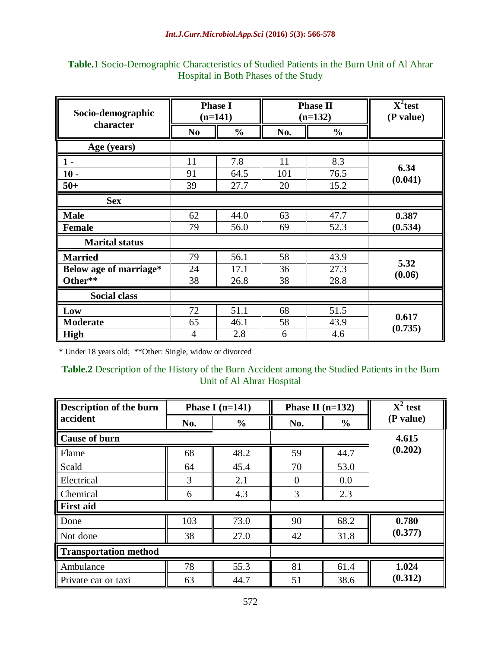| Socio-demographic<br>character | <b>Phase I</b><br>$(n=141)$ |               |     | <b>Phase II</b><br>$(n=132)$ | $X^2$ test<br>(P value) |
|--------------------------------|-----------------------------|---------------|-----|------------------------------|-------------------------|
|                                | N <sub>0</sub>              | $\frac{6}{6}$ | No. | $\frac{6}{9}$                |                         |
| Age (years)                    |                             |               |     |                              |                         |
| $1 -$                          | 11                          | 7.8           | 11  | 8.3                          |                         |
| $10 -$                         | 91                          | 64.5          | 101 | 76.5                         | 6.34<br>(0.041)         |
| $50+$                          | 39                          | 27.7          | 20  | 15.2                         |                         |
| <b>Sex</b>                     |                             |               |     |                              |                         |
| <b>Male</b>                    | 62                          | 44.0          | 63  | 47.7                         | 0.387                   |
| <b>Female</b>                  | 79                          | 56.0          | 69  | 52.3                         | (0.534)                 |
| <b>Marital status</b>          |                             |               |     |                              |                         |
| <b>Married</b>                 | 79                          | 56.1          | 58  | 43.9                         |                         |
| Below age of marriage*         | 24                          | 17.1          | 36  | 27.3                         | 5.32<br>(0.06)          |
| Other**                        | 38                          | 26.8          | 38  | 28.8                         |                         |
| <b>Social class</b>            |                             |               |     |                              |                         |
| Low                            | 72                          | 51.1          | 68  | 51.5                         |                         |
| <b>Moderate</b>                | 65                          | 46.1          | 58  | 43.9                         | 0.617<br>(0.735)        |
| <b>High</b>                    | 4                           | 2.8           | 6   | 4.6                          |                         |

# **Table.1** Socio-Demographic Characteristics of Studied Patients in the Burn Unit of Al Ahrar Hospital in Both Phases of the Study

\* Under 18 years old; \*\*Other: Single, widow or divorced

**Table.2** Description of the History of the Burn Accident among the Studied Patients in the Burn Unit of Al Ahrar Hospital

| Description of the burn      | Phase I $(n=141)$ |               | Phase II $(n=132)$ |               | $X^2$ test |  |
|------------------------------|-------------------|---------------|--------------------|---------------|------------|--|
| accident                     | No.               | $\frac{0}{0}$ | No.                | $\frac{0}{0}$ | (P value)  |  |
| <b>Cause of burn</b>         |                   |               | 4.615              |               |            |  |
| Flame                        | 68                | 48.2          | 59                 | 44.7          | (0.202)    |  |
| Scald                        | 64                | 45.4          | 70                 | 53.0          |            |  |
| Electrical                   | 3                 | 2.1           | $\Omega$           | 0.0           |            |  |
| Chemical                     | 6                 | 4.3           | 3                  | 2.3           |            |  |
| <b>First aid</b>             |                   |               |                    |               |            |  |
| Done                         | 103               | 73.0          | 90                 | 68.2          | 0.780      |  |
| Not done                     | 38                | 27.0          | 42                 | 31.8          | (0.377)    |  |
| <b>Transportation method</b> |                   |               |                    |               |            |  |
| Ambulance                    | 78                | 55.3          | 81                 | 61.4          | 1.024      |  |
| Private car or taxi          | 63                | 44.7          | 51                 | 38.6          | (0.312)    |  |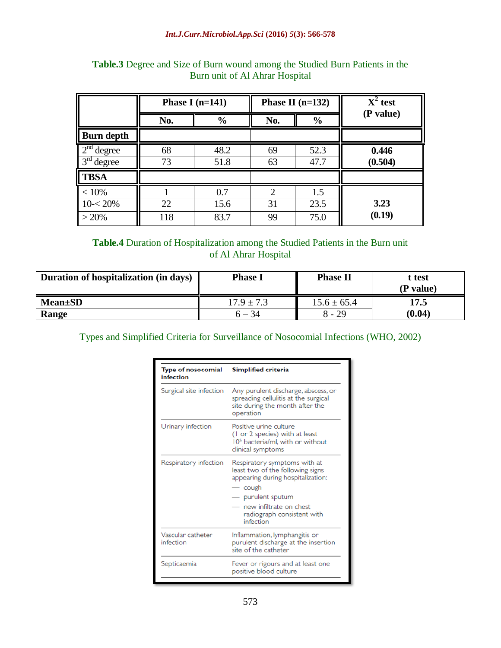|                                                        |           | Phase I $(n=141)$   |               | Phase II $(n=132)$  | $X^2$ test       |  |  |
|--------------------------------------------------------|-----------|---------------------|---------------|---------------------|------------------|--|--|
|                                                        | No.       | $\frac{6}{6}$       |               | $\frac{6}{6}$       | (P value)        |  |  |
| <b>Burn depth</b>                                      |           |                     |               |                     |                  |  |  |
| 2 <sup>nd</sup><br>degree<br>3 <sup>rd</sup><br>degree | 68<br>73  | 48.2<br>51.8        |               | 52.3<br>47.7        | 0.446<br>(0.504) |  |  |
| <b>TBSA</b>                                            |           |                     |               |                     |                  |  |  |
| < 10%<br>$10 - 20%$<br>>20%                            | 22<br>118 | 0.7<br>15.6<br>83.7 | 2<br>31<br>99 | 1.5<br>23.5<br>75.0 | 3.23<br>(0.19)   |  |  |

# **Table.3** Degree and Size of Burn wound among the Studied Burn Patients in the Burn unit of Al Ahrar Hospital

**Table.4** Duration of Hospitalization among the Studied Patients in the Burn unit of Al Ahrar Hospital

| Duration of hospitalization (in days) | <b>Phase I</b> | <b>Phase II</b> | t test<br>(P value) |
|---------------------------------------|----------------|-----------------|---------------------|
| <b>Mean</b> ±SD                       | $17.9 \pm 7.3$ | $15.6 \pm 65.4$ | 17.5                |
| Range                                 | $6 - 34$       | $8 - 29$        | (0.04)              |

Types and Simplified Criteria for Surveillance of Nosocomial Infections (WHO, 2002)

| <b>Type of nosocomial</b><br>infection | Simplified criteria                                                                                                                                                                                                                 |
|----------------------------------------|-------------------------------------------------------------------------------------------------------------------------------------------------------------------------------------------------------------------------------------|
| Surgical site infection                | Any purulent discharge, abscess, or<br>spreading cellulitis at the surgical<br>site during the month after the<br>operation                                                                                                         |
| Urinary infection                      | Positive urine culture<br>(1 or 2 species) with at least<br>10 <sup>5</sup> bacteria/ml, with or without<br>clinical symptoms                                                                                                       |
| Respiratory infection                  | Respiratory symptoms with at<br>least two of the following signs<br>appearing during hospitalization:<br>cough<br>$\overline{\phantom{a}}$<br>purulent sputum<br>new infiltrate on chest<br>radiograph consistent with<br>infection |
| Vascular catheter<br>infection         | Inflammation, lymphangitis or<br>purulent discharge at the insertion<br>site of the catheter                                                                                                                                        |
| Septicaemia                            | Fever or rigours and at least one<br>positive blood culture                                                                                                                                                                         |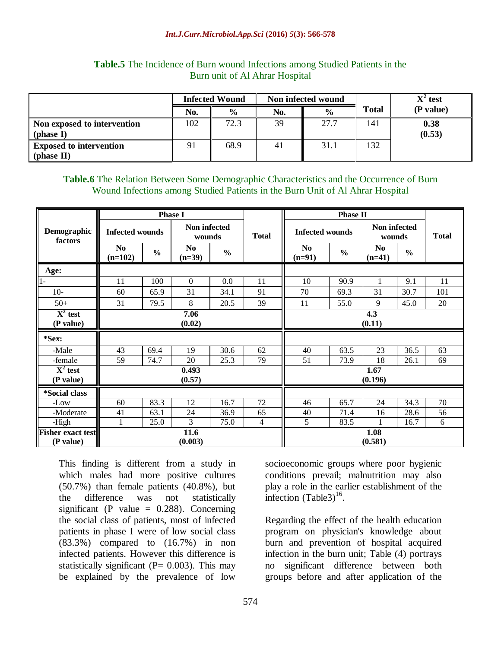#### *Int.J.Curr.Microbiol.App.Sci* **(2016)** *5***(3): 566-578**

|                                | <b>Infected Wound</b> |               |     | Non infected wound |       | $X^2$ test |  |
|--------------------------------|-----------------------|---------------|-----|--------------------|-------|------------|--|
|                                | No.                   | $\frac{0}{0}$ | No. | $\frac{0}{0}$      | Total | (P value)  |  |
| Non exposed to intervention    | 102                   | 72.3          | 39  | 27.7               | 141   | 0.38       |  |
| (phase I)                      |                       |               |     |                    |       | (0.53)     |  |
| <b>Exposed to intervention</b> | 91                    | 68.9          | 41  | 31.1               | 132   |            |  |
| (phase II)                     |                       |               |     |                    |       |            |  |

#### **Table.5** The Incidence of Burn wound Infections among Studied Patients in the Burn unit of Al Ahrar Hospital

# **Table.6** The Relation Between Some Demographic Characteristics and the Occurrence of Burn Wound Infections among Studied Patients in the Burn Unit of Al Ahrar Hospital

|                                       | <b>Phase I</b>              |               |                            |               |                 | <b>Phase II</b>            |               |                            |               |              |
|---------------------------------------|-----------------------------|---------------|----------------------------|---------------|-----------------|----------------------------|---------------|----------------------------|---------------|--------------|
| Demographic<br>factors                | <b>Infected wounds</b>      |               | Non infected<br>wounds     |               | <b>Total</b>    | <b>Infected wounds</b>     |               | Non infected<br>wounds     |               | <b>Total</b> |
|                                       | N <sub>0</sub><br>$(n=102)$ | $\frac{0}{0}$ | N <sub>0</sub><br>$(n=39)$ | $\frac{0}{0}$ |                 | N <sub>0</sub><br>$(n=91)$ | $\frac{0}{0}$ | N <sub>0</sub><br>$(n=41)$ | $\frac{0}{0}$ |              |
| Age:                                  |                             |               |                            |               |                 |                            |               |                            |               |              |
| $\overline{1}$                        | 11                          | 100           | $\boldsymbol{0}$           | 0.0           | 11              | 10                         | 90.9          | 1                          | 9.1           | 11           |
| $10-$                                 | 60                          | 65.9          | 31                         | 34.1          | 91              | 70                         | 69.3          | 31                         | 30.7          | 101          |
| $50+$                                 | 31                          | 79.5          | 8                          | 20.5          | 39              | 11                         | 55.0          | 9                          | 45.0          | 20           |
| $\overline{X^2}$ test<br>(P value)    | 7.06<br>(0.02)              |               |                            |               |                 | 4.3<br>(0.11)              |               |                            |               |              |
| *Sex:                                 |                             |               |                            |               |                 |                            |               |                            |               |              |
| -Male                                 | 43                          | 69.4          | 19                         | 30.6          | 62              | 40                         | 63.5          | 23                         | 36.5          | 63           |
| -female                               | 59                          | 74.7          | 20                         | 25.3          | 79              | 51                         | 73.9          | 18                         | 26.1          | 69           |
| $X^2$ test<br>(P value)               | 0.493<br>(0.57)             |               |                            |               | 1.67<br>(0.196) |                            |               |                            |               |              |
| <i><b>*Social class</b></i>           |                             |               |                            |               |                 |                            |               |                            |               |              |
| -Low                                  | 60                          | 83.3          | 12                         | 16.7          | 72              | 46                         | 65.7          | 24                         | 34.3          | 70           |
| -Moderate                             | 41                          | 63.1          | 24                         | 36.9          | 65              | 40                         | 71.4          | 16                         | 28.6          | 56           |
| -High                                 | 1                           | 25.0          | $\overline{3}$             | 75.0          | 4               | 5                          | 83.5          |                            | 16.7          | 6            |
| <b>Fisher exact test</b><br>(P value) | 11.6<br>(0.003)             |               |                            |               |                 |                            |               | 1.08<br>(0.581)            |               |              |

This finding is different from a study in which males had more positive cultures  $(50.7\%)$  than female patients  $(40.8\%)$ , but the difference was not statistically significant (P value  $= 0.288$ ). Concerning the social class of patients, most of infected patients in phase I were of low social class (83.3%) compared to (16.7%) in non infected patients. However this difference is statistically significant ( $P = 0.003$ ). This may be explained by the prevalence of low

socioeconomic groups where poor hygienic conditions prevail; malnutrition may also play a role in the earlier establishment of the infection  $(Table3)^{16}$ .

Regarding the effect of the health education program on physician's knowledge about burn and prevention of hospital acquired infection in the burn unit; Table (4) portrays no significant difference between both groups before and after application of the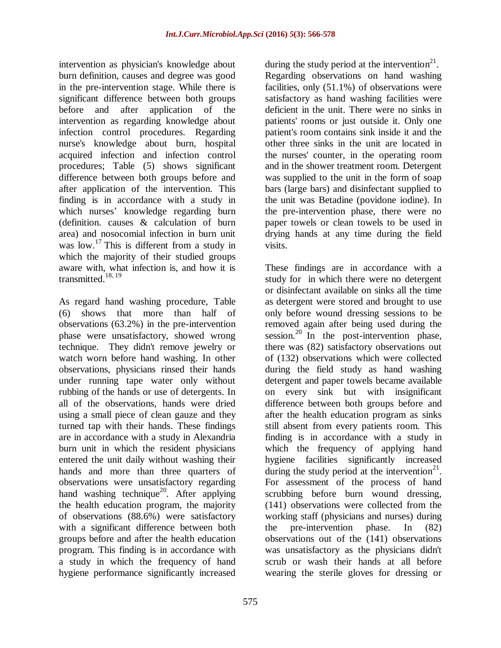intervention as physician's knowledge about burn definition, causes and degree was good in the pre-intervention stage. While there is significant difference between both groups before and after application of the intervention as regarding knowledge about infection control procedures. Regarding nurse's knowledge about burn, hospital acquired infection and infection control procedures; Table (5) shows significant difference between both groups before and after application of the intervention. This finding is in accordance with a study in which nurses' knowledge regarding burn (definition. causes & calculation of burn area) and nosocomial infection in burn unit was  $\int$ low.<sup>17</sup> This is different from a study in which the majority of their studied groups aware with, what infection is, and how it is transmitted. $18, 19$ 

As regard hand washing procedure, Table (6) shows that more than half of observations (63.2%) in the pre-intervention phase were unsatisfactory, showed wrong technique. They didn't remove jewelry or watch worn before hand washing. In other observations, physicians rinsed their hands under running tape water only without rubbing of the hands or use of detergents. In all of the observations, hands were dried using a small piece of clean gauze and they turned tap with their hands. These findings are in accordance with a study in Alexandria burn unit in which the resident physicians entered the unit daily without washing their hands and more than three quarters of observations were unsatisfactory regarding hand washing technique<sup>20</sup>. After applying the health education program, the majority of observations (88.6%) were satisfactory with a significant difference between both groups before and after the health education program. This finding is in accordance with a study in which the frequency of hand hygiene performance significantly increased

during the study period at the intervention $^{21}$ . Regarding observations on hand washing facilities, only (51.1%) of observations were satisfactory as hand washing facilities were deficient in the unit. There were no sinks in patients' rooms or just outside it. Only one patient's room contains sink inside it and the other three sinks in the unit are located in the nurses' counter, in the operating room and in the shower treatment room. Detergent was supplied to the unit in the form of soap bars (large bars) and disinfectant supplied to the unit was Betadine (povidone iodine). In the pre-intervention phase, there were no paper towels or clean towels to be used in drying hands at any time during the field visits.

These findings are in accordance with a study for in which there were no detergent or disinfectant available on sinks all the time as detergent were stored and brought to use only before wound dressing sessions to be removed again after being used during the session.<sup>20</sup> In the post-intervention phase, there was (82) satisfactory observations out of (132) observations which were collected during the field study as hand washing detergent and paper towels became available on every sink but with insignificant difference between both groups before and after the health education program as sinks still absent from every patients room. This finding is in accordance with a study in which the frequency of applying hand hygiene facilities significantly increased during the study period at the intervention $21$ . For assessment of the process of hand scrubbing before burn wound dressing, (141) observations were collected from the working staff (physicians and nurses) during the pre-intervention phase. In (82) observations out of the (141) observations was unsatisfactory as the physicians didn't scrub or wash their hands at all before wearing the sterile gloves for dressing or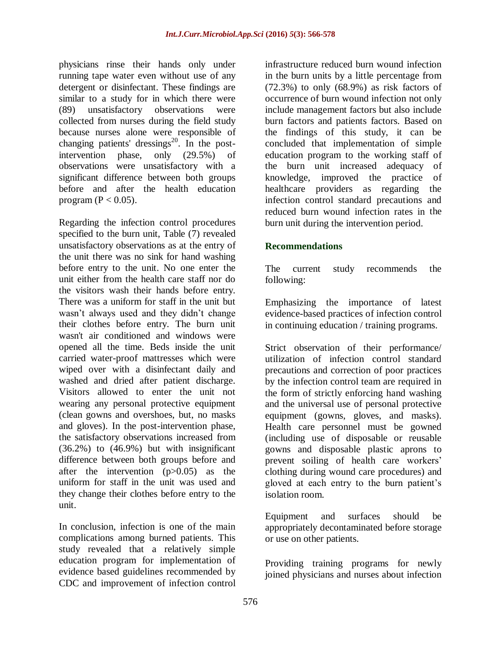physicians rinse their hands only under running tape water even without use of any detergent or disinfectant. These findings are similar to a study for in which there were (89) unsatisfactory observations were collected from nurses during the field study because nurses alone were responsible of changing patients' dressings $^{20}$ . In the postintervention phase, only (29.5%) of observations were unsatisfactory with a significant difference between both groups before and after the health education program ( $P < 0.05$ ).

Regarding the infection control procedures specified to the burn unit, Table (7) revealed unsatisfactory observations as at the entry of the unit there was no sink for hand washing before entry to the unit. No one enter the unit either from the health care staff nor do the visitors wash their hands before entry. There was a uniform for staff in the unit but wasn't always used and they didn't change their clothes before entry. The burn unit wasn't air conditioned and windows were opened all the time. Beds inside the unit carried water-proof mattresses which were wiped over with a disinfectant daily and washed and dried after patient discharge. Visitors allowed to enter the unit not wearing any personal protective equipment (clean gowns and overshoes, but, no masks and gloves). In the post-intervention phase, the satisfactory observations increased from (36.2%) to (46.9%) but with insignificant difference between both groups before and after the intervention (p>0.05) as the uniform for staff in the unit was used and they change their clothes before entry to the unit.

In conclusion, infection is one of the main complications among burned patients. This study revealed that a relatively simple education program for implementation of evidence based guidelines recommended by CDC and improvement of infection control infrastructure reduced burn wound infection in the burn units by a little percentage from  $(72.3\%)$  to only  $(68.9\%)$  as risk factors of occurrence of burn wound infection not only include management factors but also include burn factors and patients factors. Based on the findings of this study, it can be concluded that implementation of simple education program to the working staff of the burn unit increased adequacy of knowledge, improved the practice of healthcare providers as regarding the infection control standard precautions and reduced burn wound infection rates in the burn unit during the intervention period.

# **Recommendations**

The current study recommends the following:

Emphasizing the importance of latest evidence-based practices of infection control in continuing education / training programs.

Strict observation of their performance/ utilization of infection control standard precautions and correction of poor practices by the infection control team are required in the form of strictly enforcing hand washing and the universal use of personal protective equipment (gowns, gloves, and masks). Health care personnel must be gowned (including use of disposable or reusable gowns and disposable plastic aprons to prevent soiling of health care workers' clothing during wound care procedures) and gloved at each entry to the burn patient's isolation room.

Equipment and surfaces should be appropriately decontaminated before storage or use on other patients.

Providing training programs for newly joined physicians and nurses about infection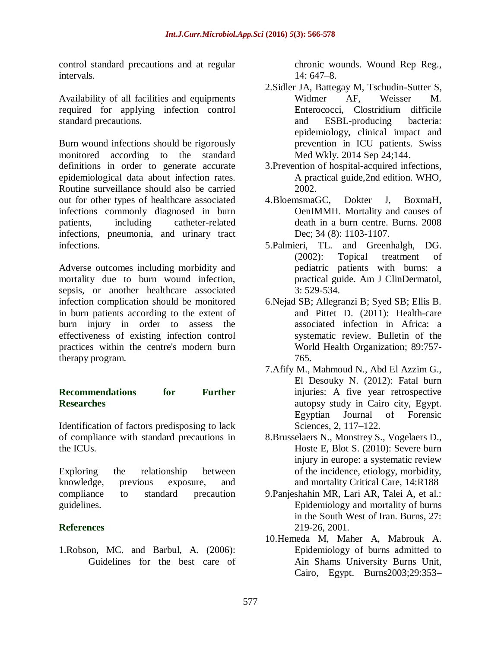control standard precautions and at regular intervals.

Availability of all facilities and equipments required for applying infection control standard precautions.

Burn wound infections should be rigorously monitored according to the standard definitions in order to generate accurate epidemiological data about infection rates. Routine surveillance should also be carried out for other types of healthcare associated infections commonly diagnosed in burn patients, including catheter-related infections, pneumonia, and urinary tract infections.

Adverse outcomes including morbidity and mortality due to burn wound infection, sepsis, or another healthcare associated infection complication should be monitored in burn patients according to the extent of burn injury in order to assess the effectiveness of existing infection control practices within the centre's modern burn therapy program.

### **Recommendations for Further Researches**

Identification of factors predisposing to lack of compliance with standard precautions in the ICUs.

Exploring the relationship between knowledge, previous exposure, and compliance to standard precaution guidelines.

### **References**

1.Robson, MC. and Barbul, A. (2006): Guidelines for the best care of chronic wounds. Wound Rep Reg., 14: 647–8.

- 2.Sidler JA, Battegay M, Tschudin-Sutter S, Widmer AF, Weisser M. Enterococci, Clostridium difficile and ESBL-producing bacteria: epidemiology, clinical impact and prevention in ICU patients. Swiss Med Wkly. 2014 Sep 24;144.
- 3.Prevention of hospital-acquired infections, A practical guide,2nd edition. WHO, 2002.
- 4.BloemsmaGC, Dokter J, BoxmaH, OenIMMH. Mortality and causes of death in a burn centre. Burns. 2008 Dec; 34 (8): 1103-1107.
- 5.Palmieri, TL. and Greenhalgh, DG. (2002): Topical treatment of pediatric patients with burns: a practical guide. Am J ClinDermatol, 3: 529-534.
- 6.Nejad SB; Allegranzi B; Syed SB; Ellis B. and Pittet D. (2011): Health-care associated infection in Africa: a systematic review. Bulletin of the World Health Organization; 89:757- 765.
- 7.Afify M., Mahmoud N., Abd El Azzim G., El Desouky N. (2012): Fatal burn injuries: A five year retrospective autopsy study in Cairo city, Egypt. Egyptian Journal of Forensic Sciences, 2, 117–122.
- 8.Brusselaers N., Monstrey S., Vogelaers D., Hoste E, Blot S. (2010): Severe burn injury in europe: a systematic review of the incidence, etiology, morbidity, and mortality Critical Care, 14:R188
- 9.Panjeshahin MR, Lari AR, Talei A, et al.: Epidemiology and mortality of burns in the South West of Iran. Burns, 27: 219-26, 2001.
- 10.Hemeda M, Maher A, Mabrouk A. Epidemiology of burns admitted to Ain Shams University Burns Unit, Cairo, Egypt. Burns2003;29:353–